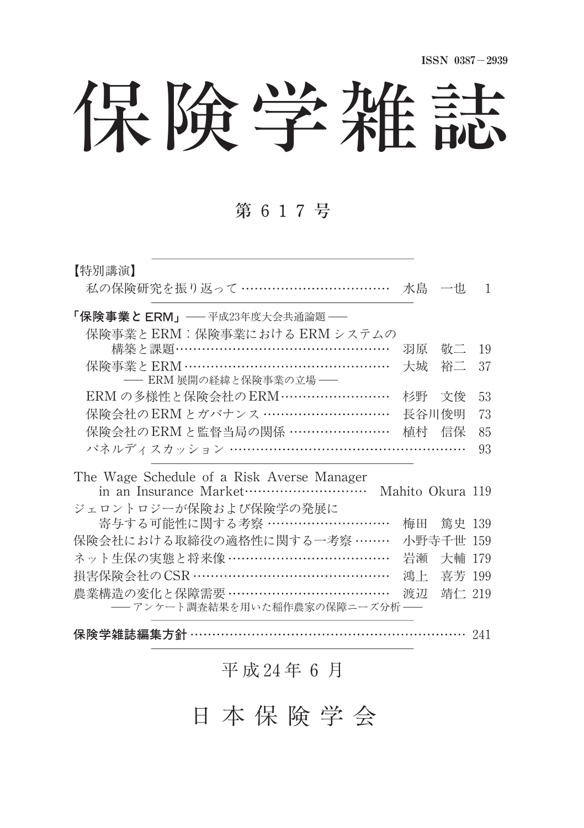保険学雑誌

# 第 617号

| 【特別講演】                                               |       |           |    |  |  |  |
|------------------------------------------------------|-------|-----------|----|--|--|--|
| 私の保険研究を振り返って ……………………………                             |       | 水島の一也     | 1  |  |  |  |
| 「保険事業と ERM」──平成23年度大会共通論題 ──                         |       |           |    |  |  |  |
| 保険事業とERM:保険事業における ERM システムの                          |       |           |    |  |  |  |
| 構築と課題 ……………………………………………                              | 羽原    | 敬二        | 19 |  |  |  |
| 保険事業とERM …………………………………………                            | 大城    | 裕二        | 37 |  |  |  |
| -- ERM 展開の経緯と保険事業の立場 --                              |       |           |    |  |  |  |
| ERM の多様性と保険会社のERM ……………………                           |       | 杉野 文俊     | 53 |  |  |  |
| 保険会社のERMとガバナンス …………………………                            | 長谷川俊明 |           | 73 |  |  |  |
| 保険会社のERMと監督当局の関係 ……………………                            | 植村 信保 |           | 85 |  |  |  |
| パネルディスカッション ………………………………………………                       |       |           | 93 |  |  |  |
| The Wage Schedule of a Risk Averse Manager           |       |           |    |  |  |  |
| in an Insurance Market…………………………<br>Mahito Okura 119 |       |           |    |  |  |  |
| ジェロントロジーが保険および保険学の発展に                                |       |           |    |  |  |  |
| 寄与する可能性に関する考察 ………………………                              | 梅田    | 篤史 139    |    |  |  |  |
| 保険会社における取締役の適格性に関する一考察 ………                           |       | 小野寺千世 159 |    |  |  |  |
| ネット生保の実態と将来像 ………………………………                            | 岩瀬    | 大輔 179    |    |  |  |  |
| 損害保険会社のCSR ………………………………………                           | 鴻上    | 喜芳 199    |    |  |  |  |
| 農業構造の変化と保障需要 ………………………………                            | 渡辺    | 靖仁 219    |    |  |  |  |
| ── アンケート調査結果を用いた稲作農家の保障ニーズ分析                         |       |           |    |  |  |  |
|                                                      |       |           |    |  |  |  |

## 平 成 24年 6 月

保険学雑誌編集方針 …………………………………………………………… 241

日 本 保 険 学 会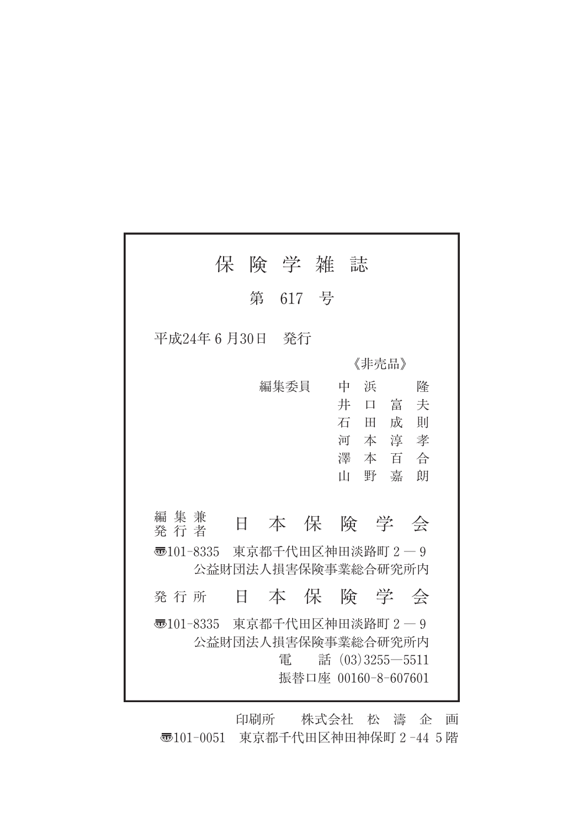|                                                   |   |   |      | 保 険 学 雑 誌                                 |    |        |                     |    |
|---------------------------------------------------|---|---|------|-------------------------------------------|----|--------|---------------------|----|
|                                                   |   |   |      | 第 617 号                                   |    |        |                     |    |
| 平成24年 6 月30日 - 発行                                 |   |   |      |                                           |    |        |                     |    |
|                                                   |   |   |      |                                           |    | 《非壳品》  |                     |    |
|                                                   |   |   | 編集委員 |                                           | 中  | 浜      |                     | 降  |
|                                                   |   |   |      |                                           | 井  | $\Box$ | 富                   | 夫  |
|                                                   |   |   |      |                                           |    | 石 田 成  |                     | 一則 |
|                                                   |   |   |      |                                           |    |        | 河本淳孝<br>澤本百合        |    |
|                                                   |   |   |      |                                           | ПI | 野 嘉    |                     | 朗  |
|                                                   |   |   |      |                                           |    |        |                     |    |
| 編 集 兼<br>発行者                                      |   | 日 |      | 本保険学会                                     |    |        |                     |    |
| न्छ101-8335 東京都千代田区神田淡路町2―9<br>公益財団法人損害保険事業総合研究所内 |   |   |      |                                           |    |        |                     |    |
| 発行所                                               | Ħ |   |      | 本 保 険 学 会                                 |    |        |                     |    |
| न्छ101-8335 東京都千代田区神田淡路町2―9                       |   |   | 雷    | 公益財団法人損害保険事業総合研究所内<br>振替口座 00160-8-607601 |    |        | 話 $(03)3255 - 5511$ |    |

印刷所 株式会社 松 濤 企 画 〠101-0051 東京都千代田区神田神保町2-445階